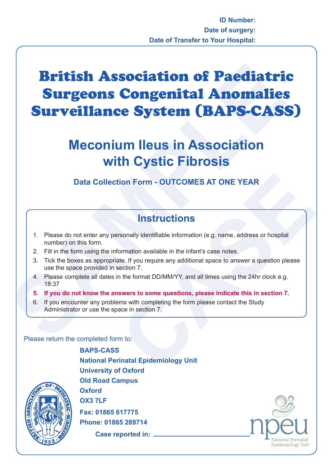## **British Association of Paediatri<br>
Surgeons Congenital Anomalies<br>
Surveillance System (BAPS-CAS:<br>
Meconium lleus in Association<br>
with Cystic Fibrosis<br>
Data Collection Form - OUTCOMES AT ONE YEAR<br>
The there do not enter any** British Association of Paediatric Surgeons Congenital Anomalies Surveillance System (BAPS-CASS)

## **Meconium Ileus in Association with Cystic Fibrosis**

## **Data Collection Form - OUTCOMES AT ONE YEAR**

## **Instructions**

- 1. Please do not enter any personally identifiable information (e.g. name, address or hospital number) on this form.
- 2. Fill in the form using the information available in the infant's case notes.
- **CONTROM CONTROM STAT ONE YEAR**<br> **CONTROM CONTROM CONTROM CONTROM CONTROM CONTROM CONTROM CONTROM CONTROM CONTROM CONTROM CONTROM CONTROM CONTROM CONTROM CONTROM CONTROM CONTROM CONTROM CONTROM CONTROM CONTROM CONTROM CONT** 3. Tick the boxes as appropriate. If you require any additional space to answer a question please use the space provided in section 7.
- 4. Please complete all dates in the format DD/MM/YY, and all times using the 24hr clock e.g. 18:37
- **5. If you do not know the answers to some questions, please indicate this in section 7.**
- 6. If you encounter any problems with completing the form please contact the Study Administrator or use the space in section 7.

Please return the completed form to:

**BAPS-CASS National Perinatal Epidemiology Unit University of Oxford Old Road Campus Oxford OX3 7LF Fax: 01865 617775 Phone: 01865 289714 Case reported in:**



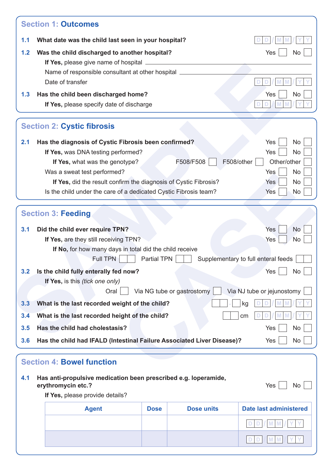|                          | <b>Section 1: Outcomes</b>                                                                                                                                                                                                                |                                       |                            |            |                                                                                                                |
|--------------------------|-------------------------------------------------------------------------------------------------------------------------------------------------------------------------------------------------------------------------------------------|---------------------------------------|----------------------------|------------|----------------------------------------------------------------------------------------------------------------|
| 1.1                      | What date was the child last seen in your hospital?                                                                                                                                                                                       |                                       |                            |            |                                                                                                                |
| 1.2                      | Was the child discharged to another hospital?                                                                                                                                                                                             |                                       |                            |            | Yes<br>No                                                                                                      |
|                          |                                                                                                                                                                                                                                           |                                       |                            |            |                                                                                                                |
|                          | Name of responsible consultant at other hospital ___                                                                                                                                                                                      |                                       |                            |            |                                                                                                                |
|                          | Date of transfer                                                                                                                                                                                                                          |                                       |                            |            |                                                                                                                |
| 1.3                      | Has the child been discharged home?                                                                                                                                                                                                       |                                       |                            |            | Yes<br>No                                                                                                      |
|                          | If Yes, please specify date of discharge                                                                                                                                                                                                  |                                       |                            |            |                                                                                                                |
|                          | <b>Section 2: Cystic fibrosis</b>                                                                                                                                                                                                         |                                       |                            |            |                                                                                                                |
| 2.1                      | Has the diagnosis of Cystic Fibrosis been confirmed?                                                                                                                                                                                      |                                       |                            |            | Yes<br><b>No</b>                                                                                               |
|                          | If Yes, was DNA testing performed?                                                                                                                                                                                                        |                                       |                            |            | Yes<br><b>No</b>                                                                                               |
|                          | If Yes, what was the genotype?                                                                                                                                                                                                            |                                       | F508/F508                  | F508/other | Other/other                                                                                                    |
|                          | Was a sweat test performed?                                                                                                                                                                                                               |                                       |                            |            | <b>No</b><br>Yes                                                                                               |
|                          | If Yes, did the result confirm the diagnosis of Cystic Fibrosis?                                                                                                                                                                          |                                       |                            |            | Yes<br><b>No</b>                                                                                               |
|                          | Is the child under the care of a dedicated Cystic Fibrosis team?                                                                                                                                                                          |                                       |                            |            | Yes<br><b>No</b>                                                                                               |
|                          | If No, for how many days in total did the child receive                                                                                                                                                                                   | If Yes, are they still receiving TPN? |                            |            | Yes<br><b>No</b>                                                                                               |
| 3.2<br>3.3<br>3.4<br>3.5 | <b>Full TPN</b><br>Is the child fully enterally fed now?<br>If Yes, is this (tick one only)<br>Oral<br>What is the last recorded weight of the child?<br>What is the last recorded height of the child?<br>Has the child had cholestasis? | Partial TPN                           | Via NG tube or gastrostomy |            | Supplementary to full enteral feeds<br>Yes<br><b>No</b><br>Via NJ tube or jejunostomy<br>kg<br>cm<br>Yes<br>No |
| 3.6                      | Has the child had IFALD (Intestinal Failure Associated Liver Disease)?<br><b>Section 4: Bowel function</b>                                                                                                                                |                                       |                            |            | Yes<br>No                                                                                                      |
| 4.1                      | Has anti-propulsive medication been prescribed e.g. loperamide,<br>erythromycin etc.?                                                                                                                                                     |                                       |                            |            | Yes<br>No                                                                                                      |
|                          | If Yes, please provide details?                                                                                                                                                                                                           |                                       |                            |            |                                                                                                                |
|                          | <b>Agent</b>                                                                                                                                                                                                                              | <b>Dose</b>                           | <b>Dose units</b>          |            | <b>Date last administered</b>                                                                                  |
|                          |                                                                                                                                                                                                                                           |                                       |                            |            |                                                                                                                |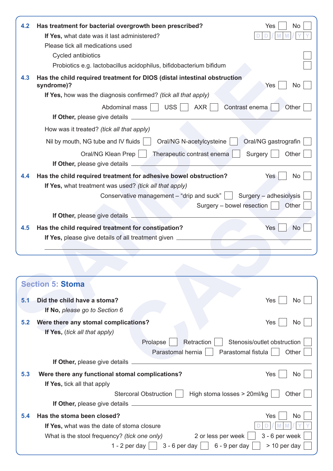| 4.2 | Has treatment for bacterial overgrowth been prescribed?<br>No<br>Yes                                  |
|-----|-------------------------------------------------------------------------------------------------------|
|     | If Yes, what date was it last administered?                                                           |
|     | Please tick all medications used                                                                      |
|     | Cycled antibiotics                                                                                    |
|     | Probiotics e.g. lactobacillus acidophilus, bifidobacterium bifidum                                    |
| 4.3 | Has the child required treatment for DIOS (distal intestinal obstruction<br>syndrome)?<br>Yes<br>No   |
|     | If Yes, how was the diagnosis confirmed? (tick all that apply)                                        |
|     | <b>USS</b><br>AXR<br>Contrast enema<br>Abdominal mass    <br>Other                                    |
|     | <b>If Other, please give details</b>                                                                  |
|     | How was it treated? (tick all that apply)                                                             |
|     | Oral/NG gastrografin<br>Oral/NG N-acetylcysteine<br>Nil by mouth, NG tube and IV fluids               |
|     | Surgery<br>Oral/NG Klean Prep<br>Therapeutic contrast enema<br>Other<br>If Other, please give details |
| 4.4 | Has the child required treatment for adhesive bowel obstruction?<br><b>No</b><br>Yes                  |
|     | If Yes, what treatment was used? (tick all that apply)                                                |
|     | Conservative management $-$ "drip and suck" $\vert \vert$<br>Surgery - adhesiolysis                   |
|     | Surgery – bowel resection<br>Other                                                                    |
|     | If Other, please give details _                                                                       |
| 4.5 | Has the child required treatment for constipation?<br>Yes<br>No.                                      |
|     | If Yes, please give details of all treatment given _________                                          |
|     |                                                                                                       |
|     |                                                                                                       |
|     |                                                                                                       |
|     | <b>Section 5: Stoma</b>                                                                               |
| 5.1 | Did the child have a stoma?<br>Yes<br>No                                                              |
|     | If No, please go to Section 6                                                                         |
| 5.2 | Were there any stomal complications?<br>Yes<br>No.                                                    |
|     | If Yes, (tick all that apply)                                                                         |
|     |                                                                                                       |

| 4.4 | Has the child required treatment for adhesive bowel obstruction?<br><b>No</b><br>Yes  |
|-----|---------------------------------------------------------------------------------------|
|     | If Yes, what treatment was used? (tick all that apply)                                |
|     | Conservative management $-$ "drip and suck" $ $<br>Surgery - adhesiolysis             |
|     | Surgery – bowel resection<br>Other                                                    |
|     | If Other, please give details                                                         |
| 4.5 | Has the child required treatment for constipation?<br>Yes<br><b>No</b>                |
|     | If Yes, please give details of all treatment given _                                  |
|     |                                                                                       |
|     |                                                                                       |
|     |                                                                                       |
|     | <b>Section 5: Stoma</b>                                                               |
|     |                                                                                       |
| 5.1 | Did the child have a stoma?<br>Yes<br><b>No</b>                                       |
|     | If No, please go to Section 6                                                         |
| 5.2 | Were there any stomal complications?<br>Yes<br><b>No</b>                              |
|     | If Yes, (tick all that apply)                                                         |
|     | Stenosis/outlet obstruction<br>Prolapse<br>Retraction                                 |
|     | Parastomal hernia<br>Parastomal fistula<br>Other                                      |
|     | If Other, please give details                                                         |
| 5.3 | Were there any functional stomal complications?<br>Yes<br><b>No</b>                   |
|     | If Yes, tick all that apply                                                           |
|     | High stoma losses > 20ml/kg<br>Stercoral Obstruction<br>Other                         |
|     |                                                                                       |
| 5.4 | Has the stoma been closed?<br>Yes<br>No                                               |
|     | If Yes, what was the date of stoma closure                                            |
|     | 2 or less per week<br>3 - 6 per week<br>What is the stool frequency? (tick one only)  |
|     | $6 - 9$ per day<br>$> 10$ per day<br>1 - 2 per day $\vert$ $\vert$<br>$3 - 6$ per day |